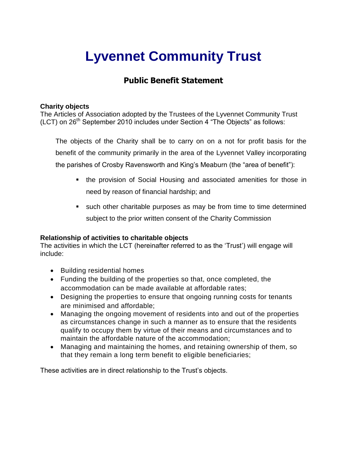# **Lyvennet Community Trust**

## **Public Benefit Statement**

### **Charity objects**

The Articles of Association adopted by the Trustees of the Lyvennet Community Trust  $(ICT)$  on  $26<sup>th</sup>$  September 2010 includes under Section 4 "The Objects" as follows:

The objects of the Charity shall be to carry on on a not for profit basis for the benefit of the community primarily in the area of the Lyvennet Valley incorporating the parishes of Crosby Ravensworth and King's Meaburn (the "area of benefit"):

- the provision of Social Housing and associated amenities for those in need by reason of financial hardship; and
- such other charitable purposes as may be from time to time determined subject to the prior written consent of the Charity Commission

## **Relationship of activities to charitable objects**

The activities in which the LCT (hereinafter referred to as the 'Trust') will engage will include:

- Building residential homes
- Funding the building of the properties so that, once completed, the accommodation can be made available at affordable rates;
- Designing the properties to ensure that ongoing running costs for tenants are minimised and affordable;
- Managing the ongoing movement of residents into and out of the properties as circumstances change in such a manner as to ensure that the residents qualify to occupy them by virtue of their means and circumstances and to maintain the affordable nature of the accommodation;
- Managing and maintaining the homes, and retaining ownership of them, so that they remain a long term benefit to eligible beneficiaries;

These activities are in direct relationship to the Trust's objects.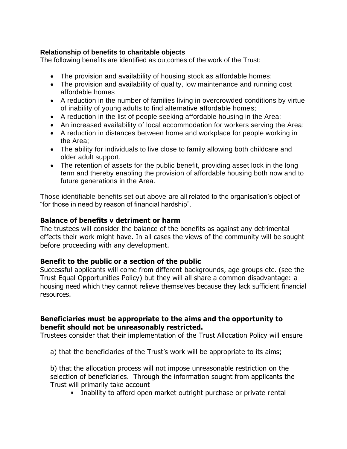## **Relationship of benefits to charitable objects**

The following benefits are identified as outcomes of the work of the Trust:

- The provision and availability of housing stock as affordable homes;
- The provision and availability of quality, low maintenance and running cost affordable homes
- A reduction in the number of families living in overcrowded conditions by virtue of inability of young adults to find alternative affordable homes;
- A reduction in the list of people seeking affordable housing in the Area;
- An increased availability of local accommodation for workers serving the Area;
- A reduction in distances between home and workplace for people working in the Area;
- The ability for individuals to live close to family allowing both childcare and older adult support.
- The retention of assets for the public benefit, providing asset lock in the long term and thereby enabling the provision of affordable housing both now and to future generations in the Area.

Those identifiable benefits set out above are all related to the organisation's object of "for those in need by reason of financial hardship".

## **Balance of benefits v detriment or harm**

The trustees will consider the balance of the benefits as against any detrimental effects their work might have. In all cases the views of the community will be sought before proceeding with any development.

## **Benefit to the public or a section of the public**

Successful applicants will come from different backgrounds, age groups etc. (see the Trust Equal Opportunities Policy) but they will all share a common disadvantage: a housing need which they cannot relieve themselves because they lack sufficient financial resources.

## **Beneficiaries must be appropriate to the aims and the opportunity to benefit should not be unreasonably restricted.**

Trustees consider that their implementation of the Trust Allocation Policy will ensure

a) that the beneficiaries of the Trust's work will be appropriate to its aims;

b) that the allocation process will not impose unreasonable restriction on the selection of beneficiaries. Through the information sought from applicants the Trust will primarily take account

**EXED** Inability to afford open market outright purchase or private rental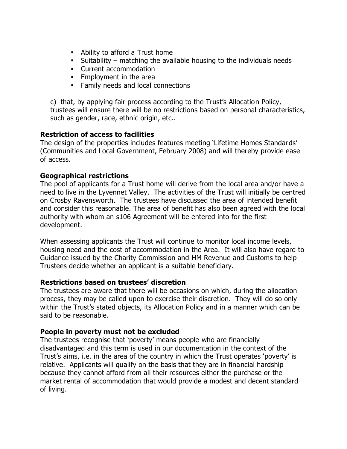- Ability to afford a Trust home
- Suitability matching the available housing to the individuals needs
- Current accommodation
- **Employment in the area**
- Family needs and local connections

c) that, by applying fair process according to the Trust's Allocation Policy, trustees will ensure there will be no restrictions based on personal characteristics, such as gender, race, ethnic origin, etc..

## **Restriction of access to facilities**

The design of the properties includes features meeting 'Lifetime Homes Standards' (Communities and Local Government, February 2008) and will thereby provide ease of access.

## **Geographical restrictions**

The pool of applicants for a Trust home will derive from the local area and/or have a need to live in the Lyvennet Valley.The activities of the Trust will initially be centred on Crosby Ravensworth. The trustees have discussed the area of intended benefit and consider this reasonable. The area of benefit has also been agreed with the local authority with whom an s106 Agreement will be entered into for the first development.

When assessing applicants the Trust will continue to monitor local income levels, housing need and the cost of accommodation in the Area. It will also have regard to Guidance issued by the Charity Commission and HM Revenue and Customs to help Trustees decide whether an applicant is a suitable beneficiary.

## **Restrictions based on trustees' discretion**

The trustees are aware that there will be occasions on which, during the allocation process, they may be called upon to exercise their discretion. They will do so only within the Trust's stated objects, its Allocation Policy and in a manner which can be said to be reasonable.

## **People in poverty must not be excluded**

The trustees recognise that 'poverty' means people who are financially disadvantaged and this term is used in our documentation in the context of the Trust's aims, i.e. in the area of the country in which the Trust operates 'poverty' is relative. Applicants will qualify on the basis that they are in financial hardship because they cannot afford from all their resources either the purchase or the market rental of accommodation that would provide a modest and decent standard of living.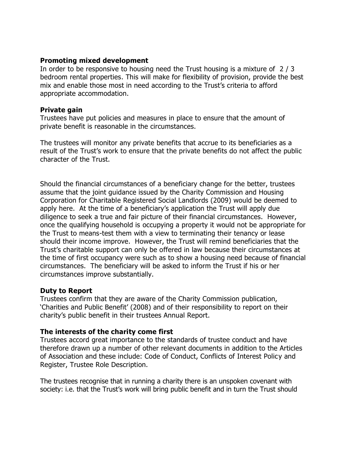#### **Promoting mixed development**

In order to be responsive to housing need the Trust housing is a mixture of 2 / 3 bedroom rental properties. This will make for flexibility of provision, provide the best mix and enable those most in need according to the Trust's criteria to afford appropriate accommodation.

#### **Private gain**

Trustees have put policies and measures in place to ensure that the amount of private benefit is reasonable in the circumstances.

The trustees will monitor any private benefits that accrue to its beneficiaries as a result of the Trust's work to ensure that the private benefits do not affect the public character of the Trust.

Should the financial circumstances of a beneficiary change for the better, trustees assume that the joint guidance issued by the Charity Commission and Housing Corporation for Charitable Registered Social Landlords (2009) would be deemed to apply here. At the time of a beneficiary's application the Trust will apply due diligence to seek a true and fair picture of their financial circumstances. However, once the qualifying household is occupying a property it would not be appropriate for the Trust to means-test them with a view to terminating their tenancy or lease should their income improve. However, the Trust will remind beneficiaries that the Trust's charitable support can only be offered in law because their circumstances at the time of first occupancy were such as to show a housing need because of financial circumstances. The beneficiary will be asked to inform the Trust if his or her circumstances improve substantially.

## **Duty to Report**

Trustees confirm that they are aware of the Charity Commission publication, 'Charities and Public Benefit' (2008) and of their responsibility to report on their charity's public benefit in their trustees Annual Report.

## **The interests of the charity come first**

Trustees accord great importance to the standards of trustee conduct and have therefore drawn up a number of other relevant documents in addition to the Articles of Association and these include: Code of Conduct, Conflicts of Interest Policy and Register, Trustee Role Description.

The trustees recognise that in running a charity there is an unspoken covenant with society: i.e. that the Trust's work will bring public benefit and in turn the Trust should